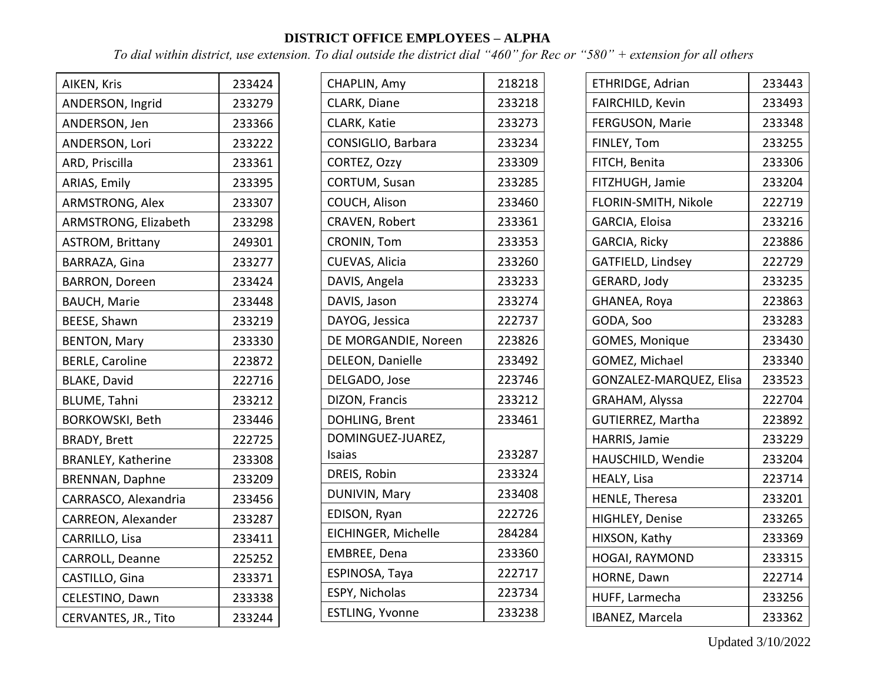## **DISTRICT OFFICE EMPLOYEES – ALPHA**

 $\overline{ }$ 

*To dial within district, use extension. To dial outside the district dial "460" for Rec or "580" + extension for all others*

| AIKEN, Kris               | 233424 |
|---------------------------|--------|
| ANDERSON, Ingrid          | 233279 |
| ANDERSON, Jen             | 233366 |
| ANDERSON, Lori            | 233222 |
| ARD, Priscilla            | 233361 |
| ARIAS, Emily              | 233395 |
| ARMSTRONG, Alex           | 233307 |
| ARMSTRONG, Elizabeth      | 233298 |
| <b>ASTROM, Brittany</b>   | 249301 |
| BARRAZA, Gina             | 233277 |
| <b>BARRON, Doreen</b>     | 233424 |
| <b>BAUCH, Marie</b>       | 233448 |
| BEESE, Shawn              | 233219 |
| <b>BENTON, Mary</b>       | 233330 |
| <b>BERLE, Caroline</b>    | 223872 |
| <b>BLAKE, David</b>       | 222716 |
| <b>BLUME, Tahni</b>       | 233212 |
| <b>BORKOWSKI, Beth</b>    | 233446 |
| <b>BRADY, Brett</b>       | 222725 |
| <b>BRANLEY, Katherine</b> | 233308 |
| <b>BRENNAN, Daphne</b>    | 233209 |
| CARRASCO, Alexandria      | 233456 |
| CARREON, Alexander        | 233287 |
| CARRILLO, Lisa            | 233411 |
| CARROLL, Deanne           | 225252 |
| CASTILLO, Gina            | 233371 |
| CELESTINO, Dawn           | 233338 |
| CERVANTES, JR., Tito      | 233244 |

| CHAPLIN, Amy         | 218218 |
|----------------------|--------|
| CLARK, Diane         | 233218 |
| CLARK, Katie         | 233273 |
| CONSIGLIO, Barbara   | 233234 |
| CORTEZ, Ozzy         | 233309 |
| <b>CORTUM, Susan</b> | 233285 |
| COUCH, Alison        | 233460 |
| CRAVEN, Robert       | 233361 |
| CRONIN, Tom          | 233353 |
| CUEVAS, Alicia       | 233260 |
| DAVIS, Angela        | 233233 |
| DAVIS, Jason         | 233274 |
| DAYOG, Jessica       | 222737 |
| DE MORGANDIE, Noreen | 223826 |
| DELEON, Danielle     | 233492 |
| DELGADO, Jose        | 223746 |
| DIZON, Francis       | 233212 |
| DOHLING, Brent       | 233461 |
| DOMINGUEZ-JUAREZ,    |        |
| Isaias               | 233287 |
| DREIS, Robin         | 233324 |
| DUNIVIN, Mary        | 233408 |
| EDISON, Ryan         | 222726 |
| EICHINGER, Michelle  | 284284 |
| EMBREE, Dena         | 233360 |
| ESPINOSA, Taya       | 222717 |
| ESPY, Nicholas       | 223734 |
| ESTLING, Yvonne      | 233238 |

| ETHRIDGE, Adrian        | 233443 |
|-------------------------|--------|
| FAIRCHILD, Kevin        | 233493 |
| FERGUSON, Marie         | 233348 |
| FINLEY, Tom             | 233255 |
| FITCH, Benita           | 233306 |
| FITZHUGH, Jamie         | 233204 |
| FLORIN-SMITH, Nikole    | 222719 |
| GARCIA, Eloisa          | 233216 |
| GARCIA, Ricky           | 223886 |
| GATFIELD, Lindsey       | 222729 |
| GERARD, Jody            | 233235 |
| GHANEA, Roya            | 223863 |
| GODA, Soo               | 233283 |
| GOMES, Monique          | 233430 |
| GOMEZ, Michael          | 233340 |
| GONZALEZ-MARQUEZ, Elisa | 233523 |
| GRAHAM, Alyssa          | 222704 |
| GUTIERREZ, Martha       | 223892 |
| HARRIS, Jamie           | 233229 |
| HAUSCHILD, Wendie       | 233204 |
| HEALY, Lisa             | 223714 |
| HENLE, Theresa          | 233201 |
| HIGHLEY, Denise         | 233265 |
| HIXSON, Kathy           | 233369 |
| HOGAI, RAYMOND          | 233315 |
| HORNE, Dawn             | 222714 |
| HUFF, Larmecha          | 233256 |
| IBANEZ, Marcela         | 233362 |

Updated 3/10/2022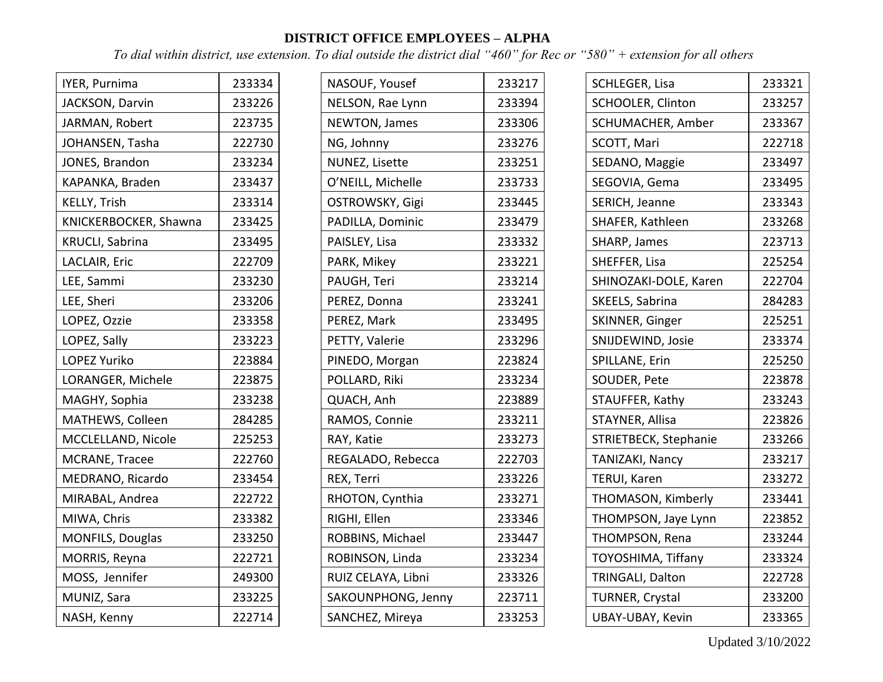## **DISTRICT OFFICE EMPLOYEES – ALPHA**

*To dial within district, use extension. To dial outside the district dial "460" for Rec or "580" + extension for all others*

| IYER, Purnima         | 233334 |
|-----------------------|--------|
| JACKSON, Darvin       | 233226 |
| JARMAN, Robert        | 223735 |
| JOHANSEN, Tasha       | 222730 |
| JONES, Brandon        | 233234 |
| KAPANKA, Braden       | 233437 |
| KELLY, Trish          | 233314 |
| KNICKERBOCKER, Shawna | 233425 |
| KRUCLI, Sabrina       | 233495 |
| LACLAIR, Eric         | 222709 |
| LEE, Sammi            | 233230 |
| LEE, Sheri            | 233206 |
| LOPEZ, Ozzie          | 233358 |
| LOPEZ, Sally          | 233223 |
| <b>LOPEZ Yuriko</b>   | 223884 |
| LORANGER, Michele     | 223875 |
| MAGHY, Sophia         | 233238 |
| MATHEWS, Colleen      | 284285 |
| MCCLELLAND, Nicole    | 225253 |
| MCRANE, Tracee        | 222760 |
| MEDRANO, Ricardo      | 233454 |
| MIRABAL, Andrea       | 222722 |
| MIWA, Chris           | 233382 |
| MONFILS, Douglas      | 233250 |
| MORRIS, Reyna         | 222721 |
| MOSS, Jennifer        | 249300 |
| MUNIZ, Sara           | 233225 |
| NASH, Kenny           | 222714 |

| NASOUF, Yousef        | 233217 |
|-----------------------|--------|
| NELSON, Rae Lynn      | 233394 |
| NEWTON, James         | 233306 |
| NG, Johnny            | 233276 |
| <b>NUNEZ, Lisette</b> | 233251 |
| O'NEILL, Michelle     | 233733 |
| OSTROWSKY, Gigi       | 233445 |
| PADILLA, Dominic      | 233479 |
| PAISLEY, Lisa         | 233332 |
| PARK, Mikey           | 233221 |
| PAUGH, Teri           | 233214 |
| PEREZ, Donna          | 233241 |
| PEREZ, Mark           | 233495 |
| PETTY, Valerie        | 233296 |
| PINEDO, Morgan        | 223824 |
| POLLARD, Riki         | 233234 |
| QUACH, Anh            | 223889 |
| RAMOS, Connie         | 233211 |
| RAY, Katie            | 233273 |
| REGALADO, Rebecca     | 222703 |
| REX, Terri            | 233226 |
| RHOTON, Cynthia       | 233271 |
| RIGHI, Ellen          | 233346 |
| ROBBINS, Michael      | 233447 |
| ROBINSON, Linda       | 233234 |
| RUIZ CELAYA, Libni    | 233326 |
| SAKOUNPHONG, Jenny    | 223711 |
| SANCHEZ, Mireya       | 233253 |

| SCHLEGER, Lisa         | 233321 |
|------------------------|--------|
| SCHOOLER, Clinton      | 233257 |
| SCHUMACHER, Amber      | 233367 |
| SCOTT, Mari            | 222718 |
| SEDANO, Maggie         | 233497 |
| SEGOVIA, Gema          | 233495 |
| SERICH, Jeanne         | 233343 |
| SHAFER, Kathleen       | 233268 |
| SHARP, James           | 223713 |
| SHEFFER, Lisa          | 225254 |
| SHINOZAKI-DOLE, Karen  | 222704 |
| SKEELS, Sabrina        | 284283 |
| SKINNER, Ginger        | 225251 |
| SNIJDEWIND, Josie      | 233374 |
| SPILLANE, Erin         | 225250 |
| SOUDER, Pete           | 223878 |
| STAUFFER, Kathy        | 233243 |
| STAYNER, Allisa        | 223826 |
| STRIETBECK, Stephanie  | 233266 |
| TANIZAKI, Nancy        | 233217 |
| TERUI, Karen           | 233272 |
| THOMASON, Kimberly     | 233441 |
| THOMPSON, Jaye Lynn    | 223852 |
| THOMPSON, Rena         | 233244 |
| TOYOSHIMA, Tiffany     | 233324 |
| TRINGALI, Dalton       | 222728 |
| <b>TURNER, Crystal</b> | 233200 |
| UBAY-UBAY, Kevin       | 233365 |

Updated 3/10/2022